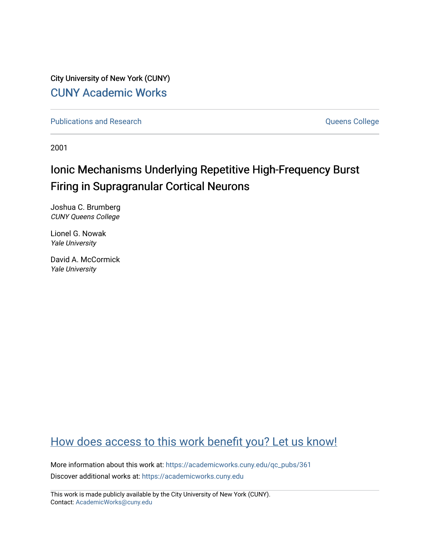City University of New York (CUNY) [CUNY Academic Works](https://academicworks.cuny.edu/) 

[Publications and Research](https://academicworks.cuny.edu/qc_pubs) **College** College and Theorem and Theorem and Theorem and Theorem and Theorem and Theorem and Theorem and Theorem and Theorem and Theorem and Theorem and Theorem and Theorem and Theorem and Theore

2001

# Ionic Mechanisms Underlying Repetitive High-Frequency Burst Firing in Supragranular Cortical Neurons

Joshua C. Brumberg CUNY Queens College

Lionel G. Nowak Yale University

David A. McCormick Yale University

# [How does access to this work benefit you? Let us know!](http://ols.cuny.edu/academicworks/?ref=https://academicworks.cuny.edu/qc_pubs/361)

More information about this work at: [https://academicworks.cuny.edu/qc\\_pubs/361](https://academicworks.cuny.edu/qc_pubs/361) Discover additional works at: [https://academicworks.cuny.edu](https://academicworks.cuny.edu/?)

This work is made publicly available by the City University of New York (CUNY). Contact: [AcademicWorks@cuny.edu](mailto:AcademicWorks@cuny.edu)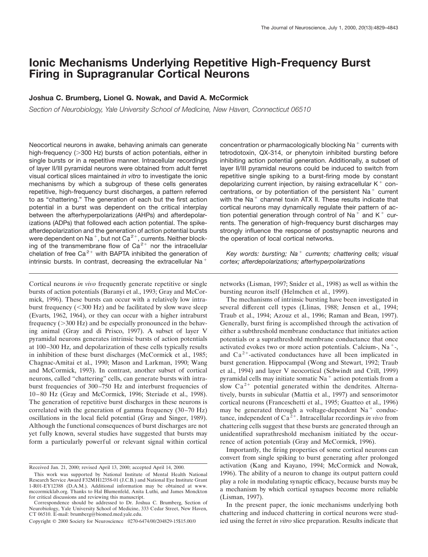# **Ionic Mechanisms Underlying Repetitive High-Frequency Burst Firing in Supragranular Cortical Neurons**

# **Joshua C. Brumberg, Lionel G. Nowak, and David A. McCormick**

*Section of Neurobiology, Yale University School of Medicine, New Haven, Connecticut 06510*

Neocortical neurons in awake, behaving animals can generate high-frequency  $(>300$  Hz) bursts of action potentials, either in single bursts or in a repetitive manner. Intracellular recordings of layer II/III pyramidal neurons were obtained from adult ferret visual cortical slices maintained *in vitro* to investigate the ionic mechanisms by which a subgroup of these cells generates repetitive, high-frequency burst discharges, a pattern referred to as "chattering." The generation of each but the first action potential in a burst was dependent on the critical interplay between the afterhyperpolarizations (AHPs) and afterdepolarizations (ADPs) that followed each action potential. The spikeafterdepolarization and the generation of action potential bursts were dependent on Na<sup>+</sup>, but not Ca<sup>2+</sup>, currents. Neither blocking of the transmembrane flow of  $Ca^{2+}$  nor the intracellular chelation of free  $Ca^{2+}$  with BAPTA inhibited the generation of intrinsic bursts. In contrast, decreasing the extracellular Na<sup>+</sup>

Cortical neurons *in vivo* frequently generate repetitive or single bursts of action potentials (Baranyi et al., 1993; Gray and McCormick, 1996). These bursts can occur with a relatively low intraburst frequency  $(<300 \text{ Hz})$  and be facilitated by slow wave sleep (Evarts, 1962, 1964), or they can occur with a higher intraburst frequency  $(>300 \text{ Hz})$  and be especially pronounced in the behaving animal (Gray and di Prisco, 1997). A subset of layer V pyramidal neurons generates intrinsic bursts of action potentials at 100–300 Hz, and depolarization of these cells typically results in inhibition of these burst discharges (McCormick et al., 1985; Chagnac-Amitai et al., 1990; Mason and Larkman, 1990; Wang and McCormick, 1993). In contrast, another subset of cortical neurons, called "chattering" cells, can generate bursts with intraburst frequencies of 300–750 Hz and interburst frequencies of 10–80 Hz (Gray and McCormick, 1996; Steriade et al., 1998). The generation of repetitive burst discharges in these neurons is correlated with the generation of gamma frequency (30–70 Hz) oscillations in the local field potential (Gray and Singer, 1989). Although the functional consequences of burst discharges are not yet fully known, several studies have suggested that bursts may form a particularly powerful or relevant signal within cortical

concentration or pharmacologically blocking  $Na<sup>+</sup>$  currents with tetrodotoxin, QX-314, or phenytoin inhibited bursting before inhibiting action potential generation. Additionally, a subset of layer II/III pyramidal neurons could be induced to switch from repetitive single spiking to a burst-firing mode by constant depolarizing current injection, by raising extracellular  $K^+$  concentrations, or by potentiation of the persistent  $Na<sup>+</sup>$  current with the  $Na<sup>+</sup>$  channel toxin ATX II. These results indicate that cortical neurons may dynamically regulate their pattern of action potential generation through control of Na<sup>+</sup> and K<sup>+</sup> currents. The generation of high-frequency burst discharges may strongly influence the response of postsynaptic neurons and the operation of local cortical networks.

*Key words: bursting; Na<sup>+</sup> currents; chattering cells; visual cortex; afterdepolarizations; afterhyperpolarizations*

networks (Lisman, 1997; Snider et al., 1998) as well as within the bursting neuron itself (Helmchen et al., 1999).

The mechanisms of intrinsic bursting have been investigated in several different cell types (Llinas, 1988; Jensen et al., 1994; Traub et al., 1994; Azouz et al., 1996; Raman and Bean, 1997). Generally, burst firing is accomplished through the activation of either a subthreshold membrane conductance that initiates action potentials or a suprathreshold membrane conductance that once activated evokes two or more action potentials. Calcium-,  $Na<sup>+</sup>$ -, and  $Ca<sup>2+</sup>$ -activated conductances have all been implicated in burst generation. Hippocampal (Wong and Stewart, 1992; Traub et al., 1994) and layer V neocortical (Schwindt and Crill, 1999) pyramidal cells may initiate somatic Na<sup>+</sup> action potentials from a slow  $Ca^{2+}$  potential generated within the dendrites. Alternatively, bursts in subicular (Mattia et al., 1997) and sensorimotor cortical neurons (Franceschetti et al., 1995; Guatteo et al., 1996) may be generated through a voltage-dependent  $Na<sup>+</sup>$  conductance, independent of  $Ca^{2+}$ . Intracellular recordings *in vivo* from chattering cells suggest that these bursts are generated through an unidentified suprathreshold mechanism initiated by the occurrence of action potentials (Gray and McCormick, 1996).

Importantly, the firing properties of some cortical neurons can convert from single spiking to burst generating after prolonged activation (Kang and Kayano, 1994; McCormick and Nowak, 1996). The ability of a neuron to change its output pattern could play a role in modulating synaptic efficacy, because bursts may be a mechanism by which cortical synapses become more reliable (Lisman, 1997).

In the present paper, the ionic mechanisms underlying both chattering and induced chattering in cortical neurons were studied using the ferret *in vitro* slice preparation. Results indicate that

Received Jan. 21, 2000; revised April 13, 2000; accepted April 14, 2000.

This work was supported by National Institute of Mental Health National Research Service Award F32MH12358-01 (J.C.B.) and National Eye Institute Grant 1-R01-EY12388 (D.A.M.). Additional information may be obtained at www. mccormicklab.org. Thanks to Hal Blumenfeld, Anita Luthi, and James Monckton for critical discussions and reviewing this manuscript.

Correspondence should be addressed to Dr. Joshua C. Brumberg, Section of Neurobiology, Yale University School of Medicine, 333 Cedar Street, New Haven, CT 06510. E-mail: brumberg@biomed.med.yale.edu.

Copyright © 2000 Society for Neuroscience 0270-6474/00/204829-15\$15.00/0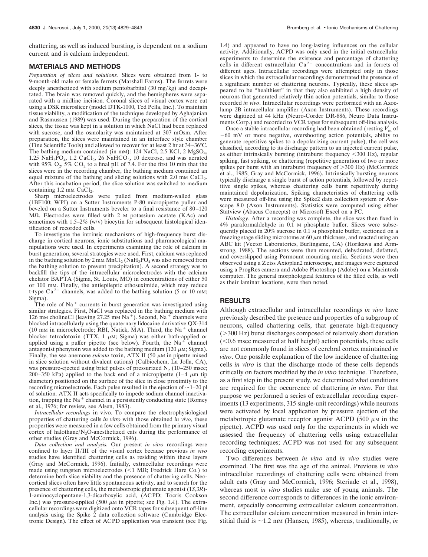chattering, as well as induced bursting, is dependent on a sodium current and is calcium independent.

#### **MATERIALS AND METHODS**

*Preparation of slices and solutions.* Slices were obtained from 1- to 9-month-old male or female ferrets (Marshall Farms). The ferrets were deeply anesthetized with sodium pentobarbital (30 mg/kg) and decapitated. The brain was removed quickly, and the hemispheres were separated with a midline incision. Coronal slices of visual cortex were cut using a DSK microslicer (model DTK-1000, Ted Pella, Inc.). To maintain tissue viability, a modification of the technique developed by Aghajanian and Rasmussen (1989) was used. During the preparation of the cortical slices, the tissue was kept in a solution in which NaCl had been replaced with sucrose, and the osmolarity was maintained at 307 mOsm. After preparation, the slices were maintained in an interface style chamber (Fine Scientific Tools) and allowed to recover for at least 2 hr at 34–36°C. The bathing medium contained (in mm): 124 NaCl, 2.5 KCl, 2 MgSO<sub>4</sub>,  $1.25$  NaH<sub>2</sub>PO<sub>4</sub>,  $1.2$  CaCl<sub>2</sub>,  $26$  NaHCO<sub>3</sub>,  $10$  dextrose, and was aerated with 95%  $O_2$ , 5%  $CO_2$  to a final pH of 7.4. For the first 10 min that the slices were in the recording chamber, the bathing medium contained an equal mixture of the bathing and slicing solutions with 2.0 mm  $CaCl<sub>2</sub>$ . After this incubation period, the slice solution was switched to medium containing 1.2 mm CaCl<sub>2</sub>.

Sharp microelectrodes were pulled from medium-walled glass (1BF100; WPI) on a Sutter Instruments P-80 micropipette puller and beveled on a Sutter Instruments beveler to a final resistance of 80–120 M $\Omega$ . Electrodes were filled with 2 M potassium acetate (KAc) and sometimes with  $1.5-2\%$  (w/v) biocytin for subsequent histological identification of recorded cells.

To investigate the intrinsic mechanisms of high-frequency burst discharge in cortical neurons, ionic substitutions and pharmacological manipulations were used. In experiments examining the role of calcium in burst generation, several strategies were used. First, calcium was replaced in the bathing solution by 2 mm  $MnCl<sub>2</sub> (NaH<sub>2</sub>PO<sub>4</sub> was also removed from$ the bathing solution to prevent precipitation). A second strategy was to backfill the tips of the intracellular microelectrodes with the calcium chelator BAPTA (Sigma, St. Louis, MO) in concentrations of either 50 or 100 mM. Finally, the antiepileptic ethosuximide, which may reduce t-type  $Ca^{2+}$  channels, was added to the bathing solution (5 or 10 mm; Sigma).

The role of  $Na<sup>+</sup>$  currents in burst generation was investigated using similar strategies. First, NaCl was replaced in the bathing medium with 126 mm cholineCl (leaving 27.25 mm Na<sup>+</sup>). Second, Na<sup>+</sup> channels were blocked intracellularly using the quaternary lidocaine derivative QX-314 (10 mM in microelectrode; RBI, Natick, MA). Third, the Na<sup>+</sup> channel blocker tetrodotoxin (TTX, 1  $\mu$ M; Sigma) was either bath-applied or applied using a puffer pipette (see below). Fourth, the  $Na<sup>+</sup>$  channel antagonist phenytoin was added to the bathing medium (120  $\mu$ M; Sigma). Finally, the sea anemone *sulcata* toxin, ATX II (50  $\mu$ M in pipette mixed in slice solution without divalent cations) (Calbiochem, La Jolla, CA), was pressure-ejected using brief pulses of pressurized  $N_2$  (10–250 msec; 200–350 kPa) applied to the back end of a micropipette  $(1-4 \mu m)$  tip diameter) positioned on the surface of the slice in close proximity to the recording microelectrode. Each pulse resulted in the ejection of  $\sim$ 1–20 pl of solution. ATX II acts specifically to impede sodium channel inactivation, trapping the Na<sup>+</sup> channel in a persistently conducting state (Romey et al., 1976; for review, see Alsen, 1983).

*Intracellular recordings* in vivo. To compare the electrophysiological properties of chattering cells *in vitro* with those obtained *in vivo*, these properties were measured in a few cells obtained from the primary visual cortex of halothane/ $N_2O$ -anesthetized cats during the performance of other studies (Gray and McCormick, 1996).

*Data collection and analysis.* Our present *in vitro* recordings were confined to layer II/III of the visual cortex because previous *in vivo* studies have identified chattering cells as residing within these layers (Gray and McCormick, 1996). Initially, extracellular recordings were made using tungsten microelectrodes  $(<1$  M $\Omega$ ; Fredrick Hare Co.) to determine both slice viability and the presence of chattering cells. Neocortical slices often have little spontaneous activity, and to search for the presence of chattering cells, the metabotropic glutamate agonist (1*S*,3*R*)- 1-aminocyclopentane-1,3-dicarboxylic acid, (ACPD; Tocris Cookson Inc.) was pressure-applied (500  $\mu$ M in pipette; see Fig. 1*A*). The extracellular recordings were digitized onto VCR tapes for subsequent off-line analysis using the Spike 2 data collection software (Cambridge Electronic Design). The effect of ACPD application was transient (see Fig.

1*A*) and appeared to have no long-lasting influences on the cellular activity. Additionally, ACPD was only used in the initial extracellular experiments to determine the existence and percentage of chattering cells in different extracellular  $Ca^{2+}$  concentrations and in ferrets of different ages. Intracellular recordings were attempted only in those slices in which the extracellular recordings demonstrated the presence of a significant number of chattering neurons. Typically, these slices appeared to be "healthiest" in that they also exhibited a high density of neurons that generated relatively thin action potentials, similar to those recorded *in vivo*. Intracellular recordings were performed with an Axoclamp 2B intracellular amplifier (Axon Instruments). These recordings were digitized at 44 kHz (Neuro-Corder DR-886, Neuro Data Instruments Corp.) and recorded to VCR tapes for subsequent off-line analysis.

Once a stable intracellular recording had been obtained (resting  $V_m$  of  $-60$  mV or more negative, overshooting action potentials, ability to generate repetitive spikes to a depolarizing current pulse), the cell was classified, according to its discharge pattern to an injected current pulse, as either intrinsically bursting (intraburst frequency  $\langle 300 \text{ Hz} \rangle$ , regular spiking, fast spiking, or chattering (repetitive generation of two or more spikes per burst with an intraburst frequency of  $>300$  Hz) (McCormick et al., 1985; Gray and McCormick, 1996). Intrinsically bursting neurons typically discharge a single burst of action potentials, followed by repetitive single spikes, whereas chattering cells burst repetitively during maintained depolarization. Spiking characteristics of chattering cells were measured off-line using the Spike2 data collection system or Axoscope 8.0 (Axon Instruments). Statistics were computed using either Statview (Abacus Concepts) or Microsoft Excel on a PC.

*Histology.* After a recording was complete, the slice was then fixed in 4% paraformaldehyde in 0.1 M phosphate buffer. Slices were subsequently placed in 20% sucrose in 0.1 M phosphate buffer, sectioned on a freezing stage sliding microtome at 60  $\mu$ m thickness, and reacted using an ABC kit (Vector Laboratories, Burlingame, CA) (Horikawa and Armstrong, 1988). The sections were then mounted, dehydrated, defatted, and coverslipped using Permount mounting media. Sections were then observed using a Zeiss Axioplan2 microscope, and images were captured using a ProgRes camera and Adobe Photoshop (Adobe) on a Macintosh computer. The general morphological features of the filled cells, as well as their laminar locations, were then noted.

#### **RESULTS**

Although extracellular and intracellular recordings *in vivo* have previously described the presence and properties of a subgroup of neurons, called chattering cells, that generate high-frequency  $(>300$  Hz) burst discharges composed of relatively short duration  $(< 0.6$  msec measured at half height) action potentials, these cells are not commonly found in slices of cerebral cortex maintained *in vitro*. One possible explanation of the low incidence of chattering cells *in vitro* is that the discharge mode of these cells depends critically on factors modified by the *in vitro* technique. Therefore, as a first step in the present study, we determined what conditions are required for the occurrence of chattering *in vitro*. For that purpose we performed a series of extracellular recording experiments (13 experiments, 315 single-unit recordings) while neurons were activated by local application by pressure ejection of the metabotropic glutamate receptor agonist ACPD  $(500 \mu M)$  in the pipette). ACPD was used only for the experiments in which we assessed the frequency of chattering cells using extracellular recording techniques; ACPD was not used for any subsequent recording experiments.

Two differences between *in vitro* and *in vivo* studies were examined. The first was the age of the animal. Previous *in vivo* intracellular recordings of chattering cells were obtained from adult cats (Gray and McCormick, 1996; Steriade et al., 1998), whereas most *in vitro* studies make use of young animals. The second difference corresponds to differences in the ionic environment, especially concerning extracellular calcium concentration. The extracellular calcium concentration measured in brain interstitial fluid is  $\sim$ 1.2 mm (Hansen, 1985), whereas, traditionally, *in*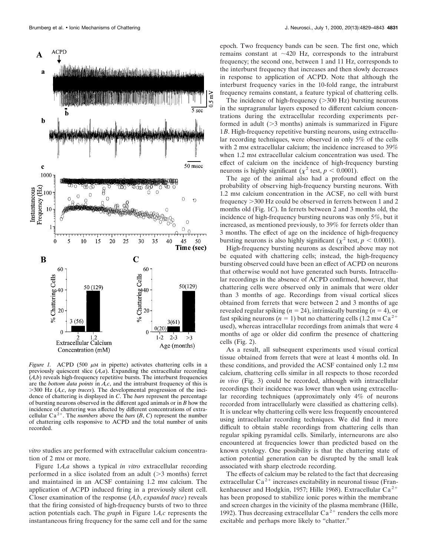

*Figure 1.* ACPD (500  $\mu$ M in pipette) activates chattering cells in a previously quiescent slice (*A,a*). Expanding the extracellular recording (*A,b*) reveals high-frequency repetitive bursts. The interburst frequencies are the *bottom data points* in *A,c*, and the intraburst frequency of this is .300 Hz (*A,c*, *top traces*). The developmental progression of the incidence of chattering is displayed in *C*. The *bars* represent the percentage of bursting neurons observed in the different aged animals or in *B* how the incidence of chattering was affected by different concentrations of extracellular  $Ca^{2+}$ . The *numbers* above the *bars*  $(B, C)$  represent the number of chattering cells responsive to ACPD and the total number of units recorded.

*vitro* studies are performed with extracellular calcium concentration of 2 mm or more.

Figure 1*A,a* shows a typical *in vitro* extracellular recording performed in a slice isolated from an adult  $($ >3 months) ferret and maintained in an ACSF containing 1.2 mm calcium. The application of ACPD induced firing in a previously silent cell. Closer examination of the response (*A,b*, *expanded trace*) reveals that the firing consisted of high-frequency bursts of two to three action potentials each. The *graph* in Figure 1*A,c* represents the instantaneous firing frequency for the same cell and for the same

epoch. Two frequency bands can be seen. The first one, which remains constant at  $\sim$ 420 Hz, corresponds to the intraburst frequency; the second one, between 1 and 11 Hz, corresponds to the interburst frequency that increases and then slowly decreases in response to application of ACPD. Note that although the interburst frequency varies in the 10-fold range, the intraburst frequency remains constant, a feature typical of chattering cells.

The incidence of high-frequency  $(>\!\!300$  Hz) bursting neurons in the supragranular layers exposed to different calcium concentrations during the extracellular recording experiments performed in adult  $(>= 3$  months) animals is summarized in Figure 1*B*. High-frequency repetitive bursting neurons, using extracellular recording techniques, were observed in only 5% of the cells with 2 mm extracellular calcium; the incidence increased to 39% when 1.2 mm extracellular calcium concentration was used. The effect of calcium on the incidence of high-frequency bursting neurons is highly significant ( $\chi^2$  test,  $p < 0.0001$ ).

The age of the animal also had a profound effect on the probability of observing high-frequency bursting neurons. With 1.2 mM calcium concentration in the ACSF, no cell with burst frequency > 300 Hz could be observed in ferrets between 1 and 2 months old (Fig. 1*C*). In ferrets between 2 and 3 months old, the incidence of high-frequency bursting neurons was only 5%, but it increased, as mentioned previously, to 39% for ferrets older than 3 months. The effect of age on the incidence of high-frequency bursting neurons is also highly significant ( $\chi^2$  test,  $p < 0.0001$ ).

High-frequency bursting neurons as described above may not be equated with chattering cells; instead, the high-frequency bursting observed could have been an effect of ACPD on neurons that otherwise would not have generated such bursts. Intracellular recordings in the absence of ACPD confirmed, however, that chattering cells were observed only in animals that were older than 3 months of age. Recordings from visual cortical slices obtained from ferrets that were between 2 and 3 months of age revealed regular spiking ( $n = 24$ ), intrinsically bursting ( $n = 4$ ), or fast spiking neurons ( $n = 1$ ) but no chattering cells (1.2 mm Ca<sup>2+</sup> used), whereas intracellular recordings from animals that were 4 months of age or older did confirm the presence of chattering cells (Fig. 2).

As a result, all subsequent experiments used visual cortical tissue obtained from ferrets that were at least 4 months old. In these conditions, and provided the ACSF contained only 1.2 mm calcium, chattering cells similar in all respects to those recorded *in vivo* (Fig. 3) could be recorded, although with intracellular recordings their incidence was lower than when using extracellular recording techniques (approximately only 4% of neurons recorded from intracellularly were classified as chattering cells). It is unclear why chattering cells were less frequently encountered using intracellular recording techniques. We did find it more difficult to obtain stable recordings from chattering cells than regular spiking pyramidal cells. Similarly, interneurons are also encountered at frequencies lower than predicted based on the known cytology. One possibility is that the chattering state of action potential generation can be disrupted by the small leak associated with sharp electrode recording.

The effects of calcium may be related to the fact that decreasing extracellular  $Ca^{2+}$  increases excitability in neuronal tissue (Frankenhaeuser and Hodgkin, 1957; Hille 1968). Extracellular Ca<sup>2+</sup> has been proposed to stabilize ionic pores within the membrane and screen charges in the vicinity of the plasma membrane (Hille, 1992). Thus decreasing extracellular  $Ca^{2+}$  renders the cells more excitable and perhaps more likely to "chatter."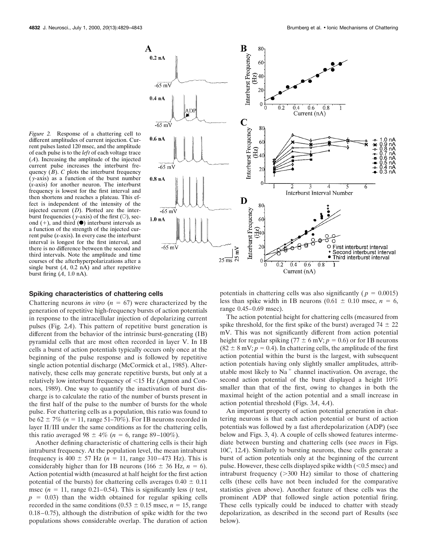

#### *Figure 2.* Response of a chattering cell to different amplitudes of current injection. Current pulses lasted 120 msec, and the amplitude of each pulse is to the *left* of each voltage trace (*A*). Increasing the amplitude of the injected current pulse increases the interburst frequency (*B*). *C* plots the interburst frequency ( *y*-axis) as a function of the burst number (*x*-axis) for another neuron. The interburst frequency is lowest for the first interval and then shortens and reaches a plateau. This effect is independent of the intensity of the injected current (*D*). Plotted are the interburst frequencies (*y*-axis) of the first ( $\odot$ ), second  $(+)$ , and third  $(•)$  interburst intervals as a function of the strength of the injected current pulse (*x*-axis). In every case the interburst interval is longest for the first interval, and there is no difference between the second and third intervals. Note the amplitude and time courses of the afterhyperpolarizations after a single burst  $(A, 0.2 \text{ nA})$  and after repetitive burst firing (*A*, 1.0 nA).

#### **Spiking characteristics of chattering cells**

Chattering neurons *in vitro* ( $n = 67$ ) were characterized by the generation of repetitive high-frequency bursts of action potentials in response to the intracellular injection of depolarizing current pulses (Fig. 2*A*). This pattern of repetitive burst generation is different from the behavior of the intrinsic burst-generating (IB) pyramidal cells that are most often recorded in layer V. In IB cells a burst of action potentials typically occurs only once at the beginning of the pulse response and is followed by repetitive single action potential discharge (McCormick et al., 1985). Alternatively, these cells may generate repetitive bursts, but only at a relatively low interburst frequency of  $\leq$ 15 Hz (Agmon and Connors, 1989). One way to quantify the inactivation of burst discharge is to calculate the ratio of the number of bursts present in the first half of the pulse to the number of bursts for the whole pulse. For chattering cells as a population, this ratio was found to be  $62 \pm 7\%$  ( $n = 11$ , range 51–70%). For IB neurons recorded in layer II/III under the same conditions as for the chattering cells, this ratio averaged 98  $\pm$  4% (*n* = 6, range 89–100%).

Another defining characteristic of chattering cells is their high intraburst frequency. At the population level, the mean intraburst frequency is  $400 \pm 57$  Hz ( $n = 11$ , range 310–473 Hz). This is considerably higher than for IB neurons (166  $\pm$  36 Hz, *n* = 6). Action potential width (measured at half height for the first action potential of the bursts) for chattering cells averages  $0.40 \pm 0.11$ msec  $(n = 11$ , range 0.21–0.54). This is significantly less (*t* test,  $p = 0.03$ ) than the width obtained for regular spiking cells recorded in the same conditions  $(0.53 \pm 0.15 \text{ msec}, n = 15 \text{, range})$ 0.18–0.75), although the distribution of spike width for the two populations shows considerable overlap. The duration of action

potentials in chattering cells was also significantly ( $p = 0.0015$ ) less than spike width in IB neurons  $(0.61 \pm 0.10 \text{ msec}, n = 6,$ range 0.45–0.69 msec).

The action potential height for chattering cells (measured from spike threshold, for the first spike of the burst) averaged  $74 \pm 22$ mV. This was not significantly different from action potential height for regular spiking (77  $\pm$  6 mV;  $p = 0.6$ ) or for IB neurons  $(82 \pm 8 \text{ mV}; p = 0.4)$ . In chattering cells, the amplitude of the first action potential within the burst is the largest, with subsequent action potentials having only slightly smaller amplitudes, attributable most likely to  $Na<sup>+</sup>$  channel inactivation. On average, the second action potential of the burst displayed a height 10% smaller than that of the first, owing to changes in both the maximal height of the action potential and a small increase in action potential threshold (Figs. 3*A*, 4*A*).

An important property of action potential generation in chattering neurons is that each action potential or burst of action potentials was followed by a fast afterdepolarization (ADP) (see below and Figs. 3, 4). A couple of cells showed features intermediate between bursting and chattering cells (see *traces* in Figs. 10*C*, 12*A*). Similarly to bursting neurons, these cells generate a burst of action potentials only at the beginning of the current pulse. However, these cells displayed spike width  $(< 0.5$  msec) and intraburst frequency  $(>300 \text{ Hz})$  similar to those of chattering cells (these cells have not been included for the comparative statistics given above). Another feature of these cells was the prominent ADP that followed single action potential firing. These cells typically could be induced to chatter with steady depolarization, as described in the second part of Results (see below).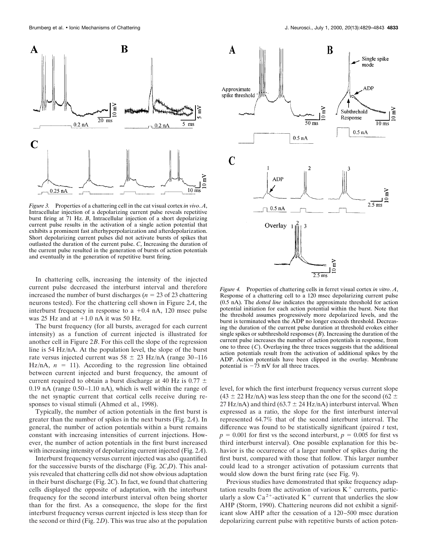

*Figure 3.* Properties of a chattering cell in the cat visual cortex *in vivo*. *A*, Intracellular injection of a depolarizing current pulse reveals repetitive burst firing at 71 Hz. *B*, Intracellular injection of a short depolarizing current pulse results in the activation of a single action potential that exhibits a prominent fast afterhyperpolarization and afterdepolarization. Short depolarizing current pulses did not activate bursts of spikes that outlasted the duration of the current pulse. *C*, Increasing the duration of the current pulse resulted in the generation of bursts of action potentials and eventually in the generation of repetitive burst firing.

In chattering cells, increasing the intensity of the injected current pulse decreased the interburst interval and therefore increased the number of burst discharges ( $n = 23$  of 23 chattering neurons tested). For the chattering cell shown in Figure 2*A*, the interburst frequency in response to a  $+0.4$  nA, 120 msec pulse was 25 Hz and at  $+1.0$  nA it was 50 Hz.

The burst frequency (for all bursts, averaged for each current intensity) as a function of current injected is illustrated for another cell in Figure 2*B*. For this cell the slope of the regression line is 54 Hz/nA. At the population level, the slope of the burst rate versus injected current was  $58 \pm 23$  Hz/nA (range 30-116 Hz/nA,  $n = 11$ ). According to the regression line obtained between current injected and burst frequency, the amount of current required to obtain a burst discharge at 40 Hz is  $0.77 \pm$ 0.19 nA (range 0.50–1.10 nA), which is well within the range of the net synaptic current that cortical cells receive during responses to visual stimuli (Ahmed et al., 1998).

Typically, the number of action potentials in the first burst is greater than the number of spikes in the next bursts (Fig. 2*A*). In general, the number of action potentials within a burst remains constant with increasing intensities of current injections. However, the number of action potentials in the first burst increased with increasing intensity of depolarizing current injected (Fig. 2*A*).

Interburst frequency versus current injected was also quantified for the successive bursts of the discharge (Fig. 2*C*,*D*). This analysis revealed that chattering cells did not show obvious adaptation in their burst discharge (Fig. 2*C*). In fact, we found that chattering cells displayed the opposite of adaptation, with the interburst frequency for the second interburst interval often being shorter than for the first. As a consequence, the slope for the first interburst frequency versus current injected is less steep than for the second or third (Fig. 2*D*). This was true also at the population



*Figure 4.* Properties of chattering cells in ferret visual cortex *in vitro*. *A*, Response of a chattering cell to a 120 msec depolarizing current pulse (0.5 nA). The *dotted line* indicates the approximate threshold for action potential initiation for each action potential within the burst. Note that the threshold assumes progressively more depolarized levels, and the burst is terminated when the ADP no longer exceeds threshold. Decreasing the duration of the current pulse duration at threshold evokes either single spikes or subthreshold responses (*B*). Increasing the duration of the current pulse increases the number of action potentials in response, from one to three  $(C)$ . Overlaying the three traces suggests that the additional action potentials result from the activation of additional spikes by the ADP. Action potentials have been clipped in the overlay. Membrane potential is  $-73$  mV for all three traces.

level, for which the first interburst frequency versus current slope  $(43 \pm 22 \text{ Hz/mA})$  was less steep than the one for the second  $(62 \pm 12 \text{ Hz/mA})$ 27 Hz/nA) and third (63.7  $\pm$  24 Hz/nA) interburst interval. When expressed as a ratio, the slope for the first interburst interval represented 64.7% that of the second interburst interval. The difference was found to be statistically significant (paired *t* test,  $p = 0.001$  for first vs the second interburst,  $p = 0.005$  for first vs third interburst interval). One possible explanation for this behavior is the occurrence of a larger number of spikes during the first burst, compared with those that follow. This larger number could lead to a stronger activation of potassium currents that would slow down the burst firing rate (see Fig. 9).

Previous studies have demonstrated that spike frequency adaptation results from the activation of various  $K<sup>+</sup>$  currents, particularly a slow  $Ca^{2+}$ -activated K<sup>+</sup> current that underlies the slow AHP (Storm, 1990). Chattering neurons did not exhibit a significant slow AHP after the cessation of a 120–500 msec duration depolarizing current pulse with repetitive bursts of action poten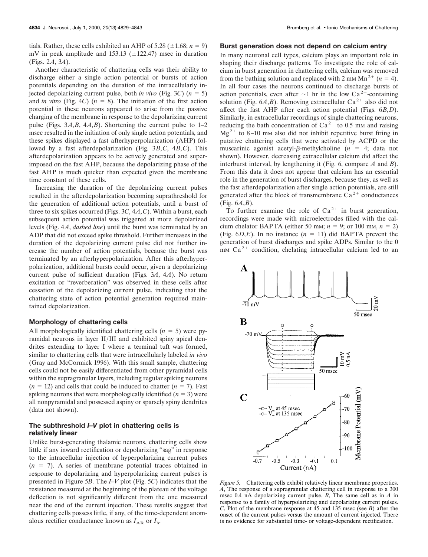tials. Rather, these cells exhibited an AHP of 5.28 ( $\pm$ 1.68; *n* = 9) mV in peak amplitude and 153.13 ( $\pm$ 122.47) msec in duration (Figs. 2*A*, 3*A*).

Another characteristic of chattering cells was their ability to discharge either a single action potential or bursts of action potentials depending on the duration of the intracellularly injected depolarizing current pulse, both *in vivo* (Fig. 3C)  $(n = 5)$ and *in vitro* (Fig. 4*C*) ( $n = 8$ ). The initiation of the first action potential in these neurons appeared to arise from the passive charging of the membrane in response to the depolarizing current pulse (Figs.  $3A$ , $B$ ,  $4A$ , $B$ ). Shortening the current pulse to  $1-2$ msec resulted in the initiation of only single action potentials, and these spikes displayed a fast afterhyperpolarization (AHP) followed by a fast afterdepolarization (Fig. 3*B*,*C*, 4*B*,*C*). This afterdepolarization appears to be actively generated and superimposed on the fast AHP, because the depolarizing phase of the fast AHP is much quicker than expected given the membrane time constant of these cells.

Increasing the duration of the depolarizing current pulses resulted in the afterdepolarization becoming suprathreshold for the generation of additional action potentials, until a burst of three to six spikes occurred (Figs. 3*C*, 4*A*,*C*). Within a burst, each subsequent action potential was triggered at more depolarized levels (Fig. 4*A*, *dashed line*) until the burst was terminated by an ADP that did not exceed spike threshold. Further increases in the duration of the depolarizing current pulse did not further increase the number of action potentials, because the burst was terminated by an afterhyperpolarization. After this afterhyperpolarization, additional bursts could occur, given a depolarizing current pulse of sufficient duration (Figs. 3*A*, 4*A*). No return excitation or "reverberation" was observed in these cells after cessation of the depolarizing current pulse, indicating that the chattering state of action potential generation required maintained depolarization.

### **Morphology of chattering cells**

All morphologically identified chattering cells  $(n = 5)$  were pyramidal neurons in layer II/III and exhibited spiny apical dendrites extending to layer I where a terminal tuft was formed, similar to chattering cells that were intracellularly labeled *in vivo* (Gray and McCormick 1996). With this small sample, chattering cells could not be easily differentiated from other pyramidal cells within the supragranular layers, including regular spiking neurons  $(n = 12)$  and cells that could be induced to chatter  $(n = 7)$ . Fast spiking neurons that were morphologically identified  $(n = 3)$  were all nonpyramidal and possessed aspiny or sparsely spiny dendrites (data not shown).

# **The subthreshold** *I–V* **plot in chattering cells is relatively linear**

Unlike burst-generating thalamic neurons, chattering cells show little if any inward rectification or depolarizing "sag" in response to the intracellular injection of hyperpolarizing current pulses  $(n = 7)$ . A series of membrane potential traces obtained in response to depolarizing and hyperpolarizing current pulses is presented in Figure 5*B*. The *I*–*V* plot (Fig. 5*C*) indicates that the resistance measured at the beginning of the plateau of the voltage deflection is not significantly different from the one measured near the end of the current injection. These results suggest that chattering cells possess little, if any, of the time-dependent anomalous rectifier conductance known as  $I_{AR}$  or  $I_h$ .

#### **Burst generation does not depend on calcium entry**

In many neuronal cell types, calcium plays an important role in shaping their discharge patterns. To investigate the role of calcium in burst generation in chattering cells, calcium was removed from the bathing solution and replaced with 2 mm  $Mn^{2+}$  ( $n = 4$ ). In all four cases the neurons continued to discharge bursts of action potentials, even after  $\sim$ 1 hr in the low Ca<sup>2+</sup>-containing solution (Fig.  $6A$ , *B*). Removing extracellular Ca<sup>2+</sup> also did not affect the fast AHP after each action potential (Figs. 6*B*,*D*). Similarly, in extracellular recordings of single chattering neurons, reducing the bath concentration of  $Ca^{2+}$  to 0.5 mm and raising  $Mg^{2+}$  to 8–10 mm also did not inhibit repetitive burst firing in putative chattering cells that were activated by ACPD or the muscarinic agonist acetyl- $\beta$ -methylcholine ( $n = 4$ ; data not shown). However, decreasing extracellular calcium did affect the interburst interval, by lengthening it (Fig. 6, compare *A* and *B*). From this data it does not appear that calcium has an essential role in the generation of burst discharges, because they, as well as the fast afterdepolarization after single action potentials, are still generated after the block of transmembrane  $Ca^{2+}$  conductances (Fig. 6*A*,*B*).

To further examine the role of  $Ca^{2+}$  in burst generation, recordings were made with microelectrodes filled with the calcium chelator BAPTA (either 50 mm;  $n = 9$ ; or 100 mm,  $n = 2$ ) (Fig.  $6D$ ,*E*). In no instance ( $n = 11$ ) did BAPTA prevent the generation of burst discharges and spike ADPs. Similar to the 0 mm  $Ca<sup>2+</sup>$  condition, chelating intracellular calcium led to an



*Figure 5.* Chattering cells exhibit relatively linear membrane properties. *A*, The response of a supragranular chattering cell in response to a 300 msec 0.4 nA depolarizing current pulse. *B*, The same cell as in *A* in response to a family of hyperpolarizing and depolarizing current pulses. *C*, Plot of the membrane response at 45 and 135 msec (see *B*) after the onset of the current pulses versus the amount of current injected. There is no evidence for substantial time- or voltage-dependent rectification.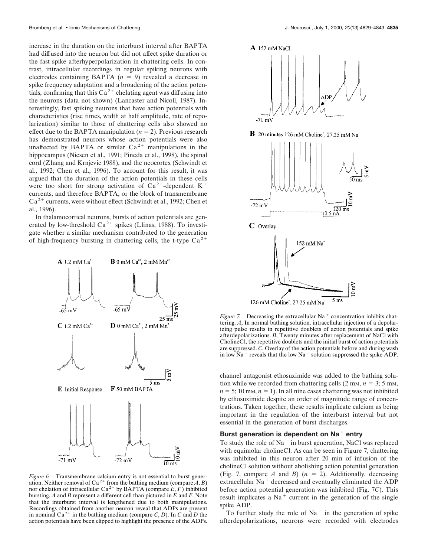increase in the duration on the interburst interval after BAPTA had diffused into the neuron but did not affect spike duration or the fast spike afterhyperpolarization in chattering cells. In contrast, intracellular recordings in regular spiking neurons with electrodes containing BAPTA  $(n = 9)$  revealed a decrease in spike frequency adaptation and a broadening of the action potentials, confirming that this  $Ca^{2+}$  chelating agent was diffusing into the neurons (data not shown) (Lancaster and Nicoll, 1987). Interestingly, fast spiking neurons that have action potentials with characteristics (rise times, width at half amplitude, rate of repolarization) similar to those of chattering cells also showed no effect due to the BAPTA manipulation  $(n = 2)$ . Previous research has demonstrated neurons whose action potentials were also unaffected by BAPTA or similar  $Ca^{2+}$  manipulations in the hippocampus (Niesen et al., 1991; Pineda et al., 1998), the spinal cord (Zhang and Krnjevic 1988), and the neocortex (Schwindt et al., 1992; Chen et al., 1996). To account for this result, it was argued that the duration of the action potentials in these cells were too short for strong activation of  $Ca^{2+}$ -dependent K<sup>+</sup> currents, and therefore BAPTA, or the block of transmembrane  $Ca<sup>2+</sup> currents, were without effect (Schwindt et al., 1992; Chen et$ al., 1996).

In thalamocortical neurons, bursts of action potentials are generated by low-threshold  $Ca^{2+}$  spikes (Llinas, 1988). To investigate whether a similar mechanism contributed to the generation of high-frequency bursting in chattering cells, the t-type  $Ca^{2+}$ 



*Figure 6.* Transmembrane calcium entry is not essential to burst generation. Neither removal of Ca<sup>2+</sup> from the bathing medium (compare  $A, B$ ) nor chelation of intracellular Ca<sup>2+</sup> by BAPTA (compare  $E, F$ ) inhibited bursting. *A* and *B* represent a different cell than pictured in *E* and *F*. Note that the interburst interval is lengthened due to both manipulations. Recordings obtained from another neuron reveal that ADPs are present in nominal  $Ca^{2+}$  in the bathing medium (compare *C*, *D*). In *C* and *D* the action potentials have been clipped to highlight the presence of the ADPs.



*Figure 7.* Decreasing the extracellular  $Na<sup>+</sup>$  concentration inhibits chattering. *A*, In normal bathing solution, intracellular injection of a depolarizing pulse results in repetitive doublets of action potentials and spike afterdepolarizations. *B*, Twenty minutes after replacement of NaCl with CholineCl, the repetitive doublets and the initial burst of action potentials are suppressed. *C*, Overlay of the action potentials before and during wash in low  $Na<sup>+</sup>$  reveals that the low Na<sup>+</sup> solution suppressed the spike ADP.

channel antagonist ethosuximide was added to the bathing solution while we recorded from chattering cells  $(2 \text{ mm}, n = 3; 5 \text{ mm})$ ,  $n = 5$ ; 10 mm,  $n = 1$ ). In all nine cases chattering was not inhibited by ethosuximide despite an order of magnitude range of concentrations. Taken together, these results implicate calcium as being important in the regulation of the interburst interval but not essential in the generation of burst discharges.

# Burst generation is dependent on Na<sup>+</sup> entry

To study the role of  $Na<sup>+</sup>$  in burst generation, NaCl was replaced with equimolar cholineCl. As can be seen in Figure 7, chattering was inhibited in this neuron after 20 min of infusion of the cholineCl solution without abolishing action potential generation (Fig. 7, compare *A* and *B*)  $(n = 2)$ . Additionally, decreasing extracellular  $Na<sup>+</sup>$  decreased and eventually eliminated the ADP before action potential generation was inhibited (Fig. 7*C*). This result implicates a  $Na<sup>+</sup>$  current in the generation of the single spike ADP.

To further study the role of  $Na<sup>+</sup>$  in the generation of spike afterdepolarizations, neurons were recorded with electrodes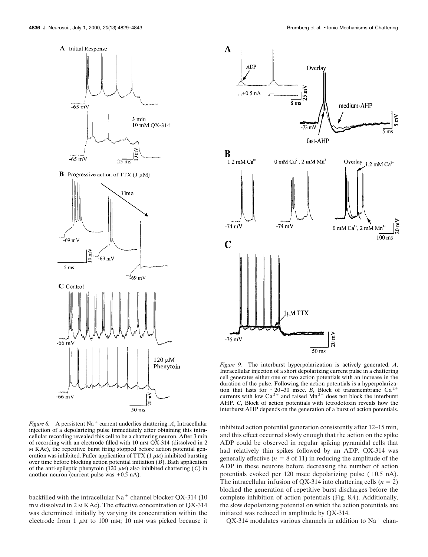

**B** Progressive action of TTX (1  $\mu$ M)



*Figure 8.* A persistent Na<sup>+</sup> current underlies chattering. A, Intracellular injection of a depolarizing pulse immediately after obtaining this intracellular recording revealed this cell to be a chattering neuron. After 3 min of recording with an electrode filled with 10 mM QX-314 (dissolved in 2 M KAc), the repetitive burst firing stopped before action potential generation was inhibited. Puffer application of TTX  $(1 \mu M)$  inhibited bursting over time before blocking action potential initiation (*B*). Bath application of the anti-epileptic phenytoin (120  $\mu$ M) also inhibited chattering (*C*) in another neuron (current pulse was  $+0.5$  nA).

backfilled with the intracellular  $Na<sup>+</sup>$  channel blocker QX-314 (10) mm dissolved in 2 m KAc). The effective concentration of QX-314 was determined initially by varying its concentration within the electrode from 1  $\mu$ M to 100 mM; 10 mM was picked because it



*Figure 9.* The interburst hyperpolarization is actively generated. *A*, Intracellular injection of a short depolarizing current pulse in a chattering cell generates either one or two action potentials with an increase in the duration of the pulse. Following the action potentials is a hyperpolarization that lasts for  $\sim$ 20–30 msec. *B*, Block of transmembrane Ca<sup>2+</sup> currents with low  $Ca^{2+}$  and raised  $Mn^{2+}$  does not block the interburst AHP. *C*, Block of action potentials with tetrodotoxin reveals how the interburst AHP depends on the generation of a burst of action potentials.

inhibited action potential generation consistently after 12–15 min, and this effect occurred slowly enough that the action on the spike ADP could be observed in regular spiking pyramidal cells that had relatively thin spikes followed by an ADP. QX-314 was generally effective  $(n = 8$  of 11) in reducing the amplitude of the ADP in these neurons before decreasing the number of action potentials evoked per 120 msec depolarizing pulse  $(+0.5 \text{ nA})$ . The intracellular infusion of QX-314 into chattering cells  $(n = 2)$ blocked the generation of repetitive burst discharges before the complete inhibition of action potentials (Fig. 8*A*). Additionally, the slow depolarizing potential on which the action potentials are initiated was reduced in amplitude by QX-314.

 $QX-314$  modulates various channels in addition to Na<sup>+</sup> chan-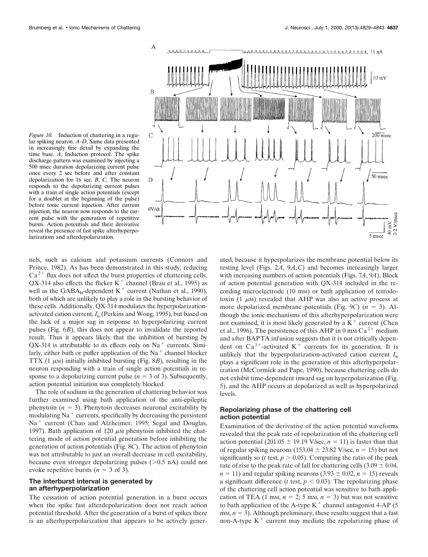*Figure 10.* Induction of chattering in a regular spiking neuron. *A*–*D*, Same data presented in increasingly fine detail by expanding the time base. *A*, Induction protocol. The spike discharge pattern was examined by injecting a 500 msec duration depolarizing current pulse once every 2 sec before and after constant depolarization for 16 sec. *B*, *C*, The neuron responds to the depolarizing current pulses with a train of single action potentials (except for a doublet at the beginning of the pulse) before tonic current injection. After current injection, the neuron now responds to the current pulse with the generation of repetitive bursts. Action potentials and their derivative reveal the presence of fast spike afterhyperpolarizations and afterdepolarization.



nels, such as calcium and potassium currents (Connors and Prince, 1982). As has been demonstrated in this study, reducing  $Ca<sup>2+</sup>$  flux does not affect the burst properties of chattering cells. QX-314 also effects the flicker  $K^+$  channel (Brau et al., 1995) as well as the  $GABA_B$ -dependent  $K^+$  current (Nathan et al., 1990), both of which are unlikely to play a role in the bursting behavior of these cells. Additionally, QX-314 modulates the hyperpolarizationactivated cation current,  $I<sub>h</sub>$  (Perkins and Wong, 1995), but based on the lack of a major sag in response to hyperpolarizing current pulses (Fig. 6*B*), this does not appear to invalidate the reported result. Thus it appears likely that the inhibition of bursting by  $QX-314$  is attributable to its effects only on Na<sup>+</sup> currents. Similarly, either bath or puffer application of the  $Na<sup>+</sup>$  channel blocker TTX (1  $\mu$ M) initially inhibited bursting (Fig. 8*B*), resulting in the neuron responding with a train of single action potentials in response to a depolarizing current pulse ( $n = 3$  of 3). Subsequently, action potential initiation was completely blocked.

The role of sodium in the generation of chattering behavior was further examined using bath application of the anti-epileptic phenytoin  $(n = 3)$ . Phenytoin decreases neuronal excitability by modulating  $Na<sup>+</sup> currents$ , specifically by decreasing the persistent Na<sup>+</sup> current (Chao and Alzheimer, 1995; Segal and Douglas, 1997). Bath application of 120  $\mu$ M phenytoin inhibited the chattering mode of action potential generation before inhibiting the generation of action potentials (Fig. 8*C*). The action of phenytoin was not attributable to just an overall decrease in cell excitability, because even stronger depolarizing pulses  $(>0.5 \text{ nA})$  could not evoke repetitive bursts  $(n = 3$  of 3).

# **The interburst interval is generated by an afterhyperpolarization**

The cessation of action potential generation in a burst occurs when the spike fast afterdepolarization does not reach action potential threshold. After the generation of a burst of spikes there is an afterhyperpolarization that appears to be actively gener-

ated, because it hyperpolarizes the membrane potential below its resting level (Figs. 2*A*, 9*A*,*C*) and becomes increasingly larger with increasing numbers of action potentials (Figs. 7*A*, 9*A*). Block of action potential generation with QX-314 included in the recording microelectrode (10 mm) or bath application of tetrodotoxin  $(1 \mu)$  revealed that AHP was also an active process at more depolarized membrane potentials (Fig. 9*C*)  $(n = 3)$ . Although the ionic mechanisms of this afterhyperpolarization were not examined, it is most likely generated by a  $K<sup>+</sup>$  current (Chen et al., 1996). The persistence of this AHP in 0 mm  $Ca^{2+}$  medium and after BAPTA infusion suggests that it is not critically dependent on  $Ca^{2+}$ -activated K<sup>+</sup> currents for its generation. It is unlikely that the hyperpolarization-activated cation current *I*<sup>h</sup> plays a significant role in the generation of this afterhyperpolarization (McCormick and Pape, 1990), because chattering cells do not exhibit time-dependent inward sag on hyperpolarization (Fig. 5), and the AHP occurs at depolarized as well as hyperpolarized levels.

## **Repolarizing phase of the chattering cell action potential**

Examination of the derivative of the action potential waveforms revealed that the peak rate of repolarization of the chattering cell action potential (201.05  $\pm$  19.19 V/sec, *n* = 11) is faster than that of regular spiking neurons (153.04  $\pm$  23.82 V/sec, *n* = 15) but not significantly so ( $t$  test,  $p > 0.05$ ). Computing the ratio of the peak rate of rise to the peak rate of fall for chattering cells  $(3.09 \pm 0.04,$  $n = 11$ ) and regular spiking neurons (3.93  $\pm$  0.02,  $n = 15$ ) reveals a significant difference ( $t$  test,  $p < 0.03$ ). The repolarizing phase of the chattering cell action potential was sensitive to bath application of TEA (1 mm,  $n = 2$ ; 5 mm,  $n = 3$ ) but was not sensitive to bath application of the A-type  $K^+$  channel antagonist 4-AP (5)  $m<sub>1</sub>$ ,  $n = 3$ ). Although preliminary, these results suggest that a fast non-A-type  $K^+$  current may mediate the repolarizing phase of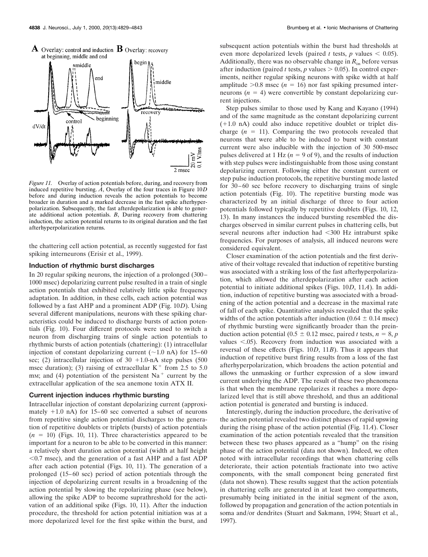

*Figure 11.* Overlay of action potentials before, during, and recovery from induced repetitive bursting. *A*, Overlay of the four traces in Figure 10*D* before and during induction reveals the action potentials to become broader in duration and a marked decrease in the fast spike afterhyperpolarization. Subsequently, the fast afterdepolarization is able to generate additional action potentials. *B*, During recovery from chattering induction, the action potential returns to its original duration and the fast afterhyperpolarization returns.

the chattering cell action potential, as recently suggested for fast spiking interneurons (Erisir et al., 1999).

# **Induction of rhythmic burst discharges**

In 20 regular spiking neurons, the injection of a prolonged (300– 1000 msec) depolarizing current pulse resulted in a train of single action potentials that exhibited relatively little spike frequency adaptation. In addition, in these cells, each action potential was followed by a fast AHP and a prominent ADP (Fig. 10*D*). Using several different manipulations, neurons with these spiking characteristics could be induced to discharge bursts of action potentials (Fig. 10). Four different protocols were used to switch a neuron from discharging trains of single action potentials to rhythmic bursts of action potentials (chattering): (1) intracellular injection of constant depolarizing current  $(\sim 1.0 \text{ nA})$  for 15–60 sec; (2) intracellular injection of  $30 + 1.0$ -nA step pulses (500) msec duration); (3) raising of extracellular  $K^+$  from 2.5 to 5.0 mm; and (4) potentiation of the persistent  $Na<sup>+</sup>$  current by the extracellular application of the sea anemone toxin ATX II.

#### **Current injection induces rhythmic bursting**

Intracellular injection of constant depolarizing current (approximately  $+1.0$  nA) for 15–60 sec converted a subset of neurons from repetitive single action potential discharges to the generation of repetitive doublets or triplets (bursts) of action potentials  $(n = 10)$  (Figs. 10, 11). Three characteristics appeared to be important for a neuron to be able to be converted in this manner: a relatively short duration action potential (width at half height  $<$ 0.7 msec), and the generation of a fast AHP and a fast ADP after each action potential (Figs. 10, 11). The generation of a prolonged (15–60 sec) period of action potentials through the injection of depolarizing current results in a broadening of the action potential by slowing the repolarizing phase (see below), allowing the spike ADP to become suprathreshold for the activation of an additional spike (Figs. 10, 11). After the induction procedure, the threshold for action potential initiation was at a more depolarized level for the first spike within the burst, and subsequent action potentials within the burst had thresholds at even more depolarized levels (paired *t* tests, *p* values  $\leq$  0.05). Additionally, there was no observable change in  $R_{in}$  before versus after induction (paired *t* tests, *p* values  $> 0.05$ ). In control experiments, neither regular spiking neurons with spike width at half amplitude  $>0.8$  msec ( $n = 16$ ) nor fast spiking presumed interneurons  $(n = 4)$  were convertible by constant depolarizing current injections.

Step pulses similar to those used by Kang and Kayano (1994) and of the same magnitude as the constant depolarizing current  $(+1.0 \text{ nA})$  could also induce repetitive doublet or triplet discharge  $(n = 11)$ . Comparing the two protocols revealed that neurons that were able to be induced to burst with constant current were also inducible with the injection of 30 500-msec pulses delivered at 1 Hz ( $n = 9$  of 9), and the results of induction with step pulses were indistinguishable from those using constant depolarizing current. Following either the constant current or step pulse induction protocols, the repetitive bursting mode lasted for 30–60 sec before recovery to discharging trains of single action potentials (Fig. 10). The repetitive bursting mode was characterized by an initial discharge of three to four action potentials followed typically by repetitive doublets (Figs. 10, 12, 13). In many instances the induced bursting resembled the discharges observed in similar current pulses in chattering cells, but several neurons after induction had  $\leq$ 300 Hz intraburst spike frequencies. For purposes of analysis, all induced neurons were considered equivalent.

Closer examination of the action potentials and the first derivative of their voltage revealed that induction of repetitive bursting was associated with a striking loss of the fast afterhyperpolarization, which allowed the afterdepolarization after each action potential to initiate additional spikes (Figs. 10*D*, 11*A*). In addition, induction of repetitive bursting was associated with a broadening of the action potential and a decrease in the maximal rate of fall of each spike. Quantitative analysis revealed that the spike widths of the action potentials after induction  $(0.64 \pm 0.14 \text{ msec})$ of rhythmic bursting were significantly broader than the preinduction action potential ( $0.5 \pm 0.12$  msec, paired *t* tests,  $n = 8$ , *p* values  $< .05$ ). Recovery from induction was associated with a reversal of these effects (Figs. 10*D*, 11*B*). Thus it appears that induction of repetitive burst firing results from a loss of the fast afterhyperpolarization, which broadens the action potential and allows the unmasking or further expression of a slow inward current underlying the ADP. The result of these two phenomena is that when the membrane repolarizes it reaches a more depolarized level that is still above threshold, and thus an additional action potential is generated and bursting is induced.

Interestingly, during the induction procedure, the derivative of the action potential revealed two distinct phases of rapid upswing during the rising phase of the action potential (Fig. 11*A*). Closer examination of the action potentials revealed that the transition between these two phases appeared as a "hump" on the rising phase of the action potential (data not shown). Indeed, we often noted with intracellular recordings that when chattering cells deteriorate, their action potentials fractionate into two active components, with the small component being generated first (data not shown). These results suggest that the action potentials in chattering cells are generated in at least two compartments, presumably being initiated in the initial segment of the axon, followed by propagation and generation of the action potentials in soma and/or dendrites (Stuart and Sakmann, 1994; Stuart et al., 1997).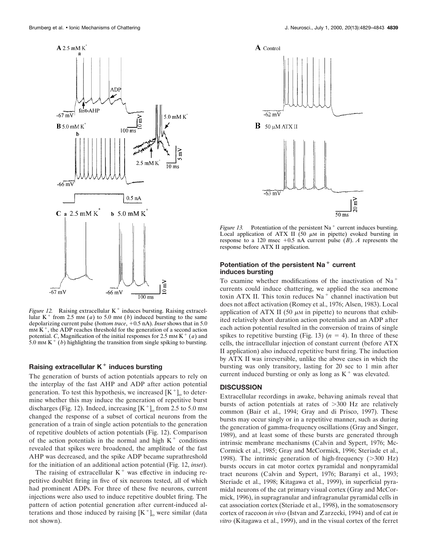

*Figure 12.* Raising extracellular  $K^+$  induces bursting. Raising extracellular  $K^+$  from 2.5 mm (*a*) to 5.0 mm (*b*) induced bursting to the same depolarizing current pulse (*bottom trace*, +0.5 nA). *Inset* shows that in 5.0  $mm K<sup>+</sup>$ , the ADP reaches threshold for the generation of a second action potential. *C*, Magnification of the initial responses for 2.5 mm  $K^+$  (*a*) and 5.0 mm  $K^+$  (*b*) highlighting the transition from single spiking to bursting.

# **Raising extracellular K<sup>+</sup> induces bursting**

The generation of bursts of action potentials appears to rely on the interplay of the fast AHP and ADP after action potential generation. To test this hypothesis, we increased  $[K^+]_0$  to determine whether this may induce the generation of repetitive burst discharges (Fig. 12). Indeed, increasing  $[K^+]_0$  from 2.5 to 5.0 mm changed the response of a subset of cortical neurons from the generation of a train of single action potentials to the generation of repetitive doublets of action potentials (Fig. 12). Comparison of the action potentials in the normal and high  $K^+$  conditions revealed that spikes were broadened, the amplitude of the fast AHP was decreased, and the spike ADP became suprathreshold for the initiation of an additional action potential (Fig. 12, *inset*).

The raising of extracellular  $K<sup>+</sup>$  was effective in inducing repetitive doublet firing in five of six neurons tested, all of which had prominent ADPs. For three of these five neurons, current injections were also used to induce repetitive doublet firing. The pattern of action potential generation after current-induced alterations and those induced by raising  $[K^+]$ <sub>o</sub> were similar (data not shown).



*Figure 13.* Potentiation of the persistent Na<sup>+</sup> current induces bursting. Local application of ATX II (50  $\mu$ M in pipette) evoked bursting in response to a 120 msec  $+0.5$  nA current pulse (*B*). *A* represents the response before ATX II application.

#### Potentiation of the persistent Na<sup>+</sup> current **induces bursting**

To examine whether modifications of the inactivation of  $Na<sup>+</sup>$ currents could induce chattering, we applied the sea anemone toxin ATX II. This toxin reduces  $Na<sup>+</sup>$  channel inactivation but does not affect activation (Romey et al., 1976; Alsen, 1983). Local application of ATX II (50  $\mu$ M in pipette) to neurons that exhibited relatively short duration action potentials and an ADP after each action potential resulted in the conversion of trains of single spikes to repetitive bursting (Fig. 13)  $(n = 4)$ . In three of these cells, the intracellular injection of constant current (before ATX II application) also induced repetitive burst firing. The induction by ATX II was irreversible, unlike the above cases in which the bursting was only transitory, lasting for 20 sec to 1 min after current induced bursting or only as long as  $K^+$  was elevated.

# **DISCUSSION**

Extracellular recordings in awake, behaving animals reveal that bursts of action potentials at rates of  $>300$  Hz are relatively common (Bair et al., 1994; Gray and di Prisco, 1997). These bursts may occur singly or in a repetitive manner, such as during the generation of gamma-frequency oscillations (Gray and Singer, 1989), and at least some of these bursts are generated through intrinsic membrane mechanisms (Calvin and Sypert, 1976; Mc-Cormick et al., 1985; Gray and McCormick, 1996; Steriade et al., 1998). The intrinsic generation of high-frequency  $(>300 \text{ Hz})$ bursts occurs in cat motor cortex pyramidal and nonpyramidal tract neurons (Calvin and Sypert, 1976; Baranyi et al., 1993; Steriade et al., 1998; Kitagawa et al., 1999), in superficial pyramidal neurons of the cat primary visual cortex (Gray and McCormick, 1996), in supragranular and infragranular pyramidal cells in cat association cortex (Steriade et al., 1998), in the somatosensory cortex of raccoon *in vivo* (Istvan and Zarzecki, 1994) and of cat *in vitro* (Kitagawa et al., 1999), and in the visual cortex of the ferret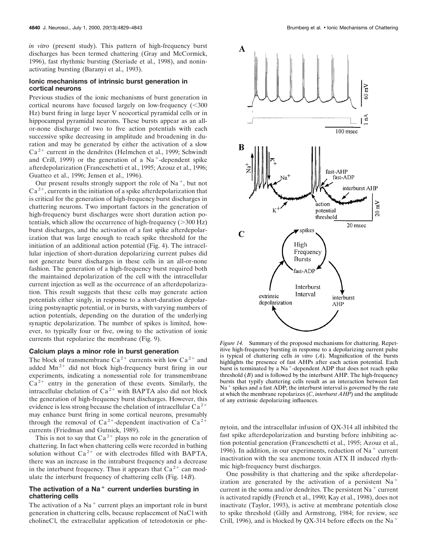*in vitro* (present study). This pattern of high-frequency burst discharges has been termed chattering (Gray and McCormick, 1996), fast rhythmic bursting (Steriade et al., 1998), and noninactivating bursting (Baranyi et al., 1993).

# **Ionic mechanisms of intrinsic burst generation in cortical neurons**

Previous studies of the ionic mechanisms of burst generation in cortical neurons have focused largely on low-frequency  $( $300$$ Hz) burst firing in large layer V neocortical pyramidal cells or in hippocampal pyramidal neurons. These bursts appear as an allor-none discharge of two to five action potentials with each successive spike decreasing in amplitude and broadening in duration and may be generated by either the activation of a slow  $Ca<sup>2+</sup>$  current in the dendrites (Helmchen et al., 1999; Schwindt and Crill, 1999) or the generation of a  $Na<sup>+</sup>$ -dependent spike afterdepolarization (Franceschetti et al., 1995; Azouz et al., 1996; Guatteo et al., 1996; Jensen et al., 1996).

Our present results strongly support the role of  $Na^+$ , but not  $Ca<sup>2+</sup>$ , currents in the initiation of a spike afterdepolarization that is critical for the generation of high-frequency burst discharges in chattering neurons. Two important factors in the generation of high-frequency burst discharges were short duration action potentials, which allow the occurrence of high-frequency  $($ >300 Hz) burst discharges, and the activation of a fast spike afterdepolarization that was large enough to reach spike threshold for the initiation of an additional action potential (Fig. 4). The intracellular injection of short-duration depolarizing current pulses did not generate burst discharges in these cells in an all-or-none fashion. The generation of a high-frequency burst required both the maintained depolarization of the cell with the intracellular current injection as well as the occurrence of an afterdepolarization. This result suggests that these cells may generate action potentials either singly, in response to a short-duration depolarizing postsynaptic potential, or in bursts, with varying numbers of action potentials, depending on the duration of the underlying synaptic depolarization. The number of spikes is limited, however, to typically four or five, owing to the activation of ionic currents that repolarize the membrane (Fig. 9).

## **Calcium plays a minor role in burst generation**

The block of transmembrane  $Ca^{2+}$  currents with low  $Ca^{2+}$  and added  $Mn^{2+}$  did not block high-frequency burst firing in our experiments, indicating a nonessential role for transmembrane  $Ca<sup>2+</sup>$  entry in the generation of these events. Similarly, the intracellular chelation of  $Ca^{2+}$  with BAPTA also did not block the generation of high-frequency burst discharges. However, this evidence is less strong because the chelation of intracellular  $Ca^{2+}$ may enhance burst firing in some cortical neurons, presumably through the removal of  $Ca^{2+}$ -dependent inactivation of  $Ca^{2+}$ currents (Friedman and Gutnick, 1989).

This is not to say that  $Ca^{2+}$  plays no role in the generation of chattering. In fact when chattering cells were recorded in bathing solution without  $Ca^{2+}$  or with electrodes filled with BAPTA, there was an increase in the intraburst frequency and a decrease in the interburst frequency. Thus it appears that  $Ca^{2+}$  can modulate the interburst frequency of chattering cells (Fig. 14*B*).

# The activation of a Na<sup>+</sup> current underlies bursting in **chattering cells**

The activation of a  $Na<sup>+</sup>$  current plays an important role in burst generation in chattering cells, because replacement of NaCl with cholineCl, the extracellular application of tetrodotoxin or phe-



*Figure 14.* Summary of the proposed mechanisms for chattering. Repetitive high-frequency bursting in response to a depolarizing current pulse is typical of chattering cells *in vitro* (*A*). Magnification of the bursts highlights the presence of fast AHPs after each action potential. Each burst is terminated by a  $Na<sup>+</sup>$ -dependent ADP that does not reach spike threshold (*B*) and is followed by the interburst AHP. The high-frequency bursts that typify chattering cells result as an interaction between fast  $Na<sup>+</sup>$  spikes and a fast ADP; the interburst interval is governed by the rate at which the membrane repolarizes (*C*, *interburst AHP*) and the amplitude of any extrinsic depolarizing influences.

nytoin, and the intracellular infusion of QX-314 all inhibited the fast spike afterdepolarization and bursting before inhibiting action potential generation (Franceschetti et al., 1995; Azouz et al., 1996). In addition, in our experiments, reduction of Na<sup>+</sup> current inactivation with the sea anemone toxin ATX II induced rhythmic high-frequency burst discharges.

One possibility is that chattering and the spike afterdepolarization are generated by the activation of a persistent  $Na$ <sup>+</sup> current in the soma and/or dendrites. The persistent  $Na<sup>+</sup>$  current is activated rapidly (French et al., 1990; Kay et al., 1998), does not inactivate (Taylor, 1993), is active at membrane potentials close to spike threshold (Gilly and Armstrong, 1984; for review, see Crill, 1996), and is blocked by QX-314 before effects on the Na<sup>+</sup>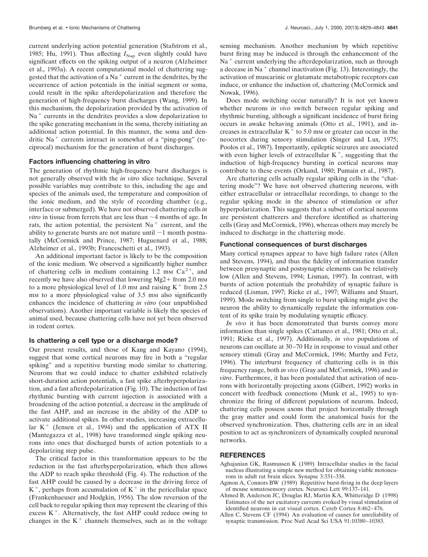current underlying action potential generation (Stafstrom et al., 1985; Hu, 1991). Thus affecting  $I_{\text{Nap}}$  even slightly could have significant effects on the spiking output of a neuron (Alzheimer et al., 1993a). A recent computational model of chattering suggested that the activation of a Na<sup> $+$ </sup> current in the dendrites, by the occurrence of action potentials in the initial segment or soma, could result in the spike afterdepolarization and therefore the generation of high-frequency burst discharges (Wang, 1999). In this mechanism, the depolarization provided by the activation of  $Na<sup>+</sup> currents in the dendrites provides a slow depolarization to$ the spike generating mechanism in the soma, thereby initiating an additional action potential. In this manner, the soma and dendritic  $Na<sup>+</sup>$  currents interact in somewhat of a "ping-pong" (reciprocal) mechanism for the generation of burst discharges.

#### **Factors influencing chattering in vitro**

The generation of rhythmic high-frequency burst discharges is not generally observed with the *in vitro* slice technique. Several possible variables may contribute to this, including the age and species of the animals used, the temperature and composition of the ionic medium, and the style of recording chamber (e.g., interface or submerged). We have not observed chattering cells *in vitro* in tissue from ferrets that are less than  $\sim$ 4 months of age. In rats, the action potential, the persistent  $Na<sup>+</sup>$  current, and the ability to generate bursts are not mature until  $\sim$ 1 month postnatally (McCormick and Prince, 1987; Huguenard et al., 1988; Alzheimer et al., 1993b; Franceschetti et al., 1993).

An additional important factor is likely to be the composition of the ionic medium. We observed a significantly higher number of chattering cells in medium containing 1.2 mm  $Ca^{2+}$ , and recently we have also observed that lowering Mg2+ from  $2.0 \text{ mm}$ to a more physiological level of 1.0 mm and raising  $K^+$  from 2.5 mm to a more physiological value of 3.5 mm also significantly enhances the incidence of chattering *in vitro* (our unpublished observations). Another important variable is likely the species of animal used, because chattering cells have not yet been observed in rodent cortex.

## **Is chattering a cell type or a discharge mode?**

Our present results, and those of Kang and Kayano (1994), suggest that some cortical neurons may fire in both a "regular spiking" and a repetitive bursting mode similar to chattering. Neurons that we could induce to chatter exhibited relatively short-duration action potentials, a fast spike afterhyperpolarization, and a fast afterdepolarization (Fig. 10). The induction of fast rhythmic bursting with current injection is associated with a broadening of the action potential, a decrease in the amplitude of the fast AHP, and an increase in the ability of the ADP to activate additional spikes. In other studies, increasing extracellular  $K^+$  (Jensen et al., 1994) and the application of ATX II (Mantegazza et al., 1998) have transformed single spiking neurons into ones that discharged bursts of action potentials to a depolarizing step pulse.

The critical factor in this transformation appears to be the reduction in the fast afterhyperpolarization, which then allows the ADP to reach spike threshold (Fig. 4). The reduction of the fast AHP could be caused by a decrease in the driving force of  $K^+$ , perhaps from accumulation of  $K^+$  in the pericellular space (Frankenhaeuser and Hodgkin, 1956). The slow reversion of the cell back to regular spiking then may represent the clearing of this excess  $K^+$ . Alternatively, the fast AHP could reduce owing to changes in the  $K<sup>+</sup>$  channels themselves, such as in the voltage sensing mechanism. Another mechanism by which repetitive burst firing may be induced is through the enhancement of the  $Na<sup>+</sup>$  current underlying the afterdepolarization, such as through a decease in Na<sup>+</sup> channel inactivation (Fig. 13). Interestingly, the activation of muscarinic or glutamate metabotropic receptors can induce, or enhance the induction of, chattering (McCormick and Nowak, 1996).

Does mode switching occur naturally? It is not yet known whether neurons *in vivo* switch between regular spiking and rhythmic bursting, although a significant incidence of burst firing occurs in awake behaving animals (Otto et al., 1991), and increases in extracellular  $K^+$  to 5.0 mm or greater can occur in the neocortex during sensory stimulation (Singer and Lux, 1975; Poolos et al., 1987). Importantly, epileptic seizures are associated with even higher levels of extracellular  $K^+$ , suggesting that the induction of high-frequency bursting in cortical neurons may contribute to these events (Orkand, 1980; Pumain et al., 1987).

Are chattering cells actually regular spiking cells in the "chattering mode"? We have not observed chattering neurons, with either extracellular or intracellular recordings, to change to the regular spiking mode in the absence of stimulation or after hyperpolarization. This suggests that a subset of cortical neurons are persistent chatterers and therefore identified as chattering cells (Gray and McCormick, 1996), whereas others may merely be induced to discharge in the chattering mode.

### **Functional consequences of burst discharges**

Many cortical synapses appear to have high failure rates (Allen and Stevens, 1994), and thus the fidelity of information transfer between presynaptic and postsynaptic elements can be relatively low (Allen and Stevens, 1994; Lisman, 1997). In contrast, with bursts of action potentials the probability of synaptic failure is reduced (Lisman, 1997; Rieke et al., 1997; Williams and Stuart, 1999). Mode switching from single to burst spiking might give the neuron the ability to dynamically regulate the information content of its spike train by modulating synaptic efficacy.

*In vivo* it has been demonstrated that bursts convey more information than single spikes (Cattaneo et al., 1981; Otto et al., 1991; Rieke et al., 1997). Additionally, *in vivo* populations of neurons can oscillate at 30–70 Hz in response to visual and other sensory stimuli (Gray and McCormick, 1996; Murthy and Fetz, 1996). The interburst frequency of chattering cells is in this frequency range, both *in vivo* (Gray and McCormick, 1996) and *in vitro*. Furthermore, it has been postulated that activation of neurons with horizontally projecting axons (Gilbert, 1992) works in concert with feedback connections (Munk et al., 1995) to synchronize the firing of different populations of neurons. Indeed, chattering cells possess axons that project horizontally through the gray matter and could form the anatomical basis for the observed synchronization. Thus, chattering cells are in an ideal position to act as synchronizers of dynamically coupled neuronal networks.

# **REFERENCES**

- Aghajanian GK, Rasmussen K (1989) Intracellular studies in the facial nucleus illustrating a simple new method for obtaining viable motoneurons in adult rat brain slices. Synapse 3:331–338.
- Agmon A, Connors BW (1989) Repetitive burst-firing in the deep layers of mouse somatosensory cortex. Neurosci Lett 99:137–141.
- Ahmed B, Anderson JC, Douglas RJ, Martin KA, Whitteridge D (1998) Estimates of the net excitatory currents evoked by visual stimulation of identified neurons in cat visual cortex. Cereb Cortex 8:462–476.
- Allen C, Stevens CF (1994) An evaluation of causes for unreliability of synaptic transmission. Proc Natl Acad Sci USA 91:10380–10383.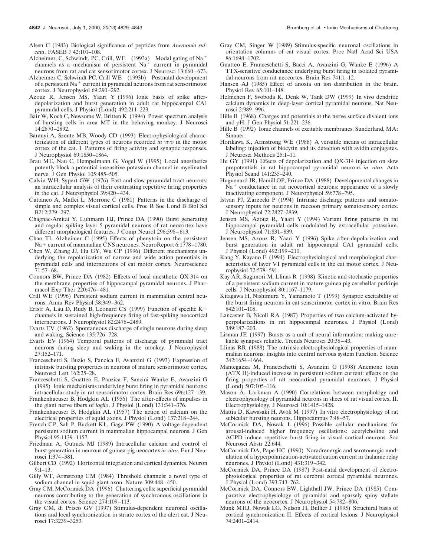Alsen C (1983) Biological significance of peptides from *Anemonia sulcata*. FASEB J 42:101–108.

- Alzheimer, C, Schwindt, PC, Crill, WE (1993a) Modal gating of Na<sup>+</sup> channels as a mechanism of persistent  $Na<sup>+</sup>$  current in pyramidal neurons from rat and cat sensorimotor cortex. J Neurosci 13:660–673.
- Alzheimer C, Schwindt PC, Crill WE (1993b) Postnatal development of a persistent Na<sup>+</sup> current in pyramidal neurons from rat sensorimotor cortex. J Neurophysiol 69:290–292.
- Azouz R, Jensen MS, Yaari Y (1996) Ionic basis of spike afterdepolarization and burst generation in adult rat hippocampal CA1 pyramidal cells. J Physiol (Lond) 492:211–223.
- Bair W, Koch C, Newsome W, Britten K (1994) Power spectrum analysis of bursting cells in area MT in the behaving monkey. J Neurosci 14:2870–2892.
- Baranyi A, Szente MB, Woody CD (1993) Electrophysiological characterization of different types of neurons recorded *in vivo* in the motor cortex of the cat. I. Patterns of firing activity and synaptic responses. J Neurophysiol 69:1850–1864.
- Brau ME, Nau C, Hempelmann G, Vogel W (1995) Local anesthetics potently block a potential insensitive potassium channel in myelinated nerve. J Gen Physiol 105:485–505.
- Calvin WH, Sypert GW (1976) Fast and slow pyramidal tract neurons: an intracellular analysis of their contrasting repetitive firing properties in the cat. J Neurophysiol 39:420–434.
- Cattaneo A, Maffei L, Morrone C (1981) Patterns in the discharge of simple and complex visual cortical cells. Proc R Soc Lond B Biol Sci B212:279–297.
- Chagnac-Amitai Y, Luhmann HJ, Prince DA (1990) Burst generating and regular spiking layer 5 pyramidal neurons of rat neocortex have different morphological features. J Comp Neurol 296:598–613.
- Chao TI, Alzheimer C (1995) Effects of phenytoin on the persistent Na+ current of mammalian CNS neurones. NeuroReport 6:1778-1780.
- Chen W, Zhang JJ, Hu GY, Wu CP (1996) Different mechanisms underlying the repolarization of narrow and wide action potentials in pyramidal cells and interneurons of cat motor cortex. Neuroscience 71:57–68.
- Connors BW, Prince DA (1982) Effects of local anesthetic QX-314 on the membrane properties of hippocampal pyramidal neurons. J Pharmacol Exp Ther 220:476–481.
- Crill WE (1996) Persistent sodium current in mammalian central neurons. Annu Rev Physiol 58:349–362.
- Erisir A, Lau D, Rudy B, Leonard CS (1999) Function of specific  $K^+$ channels in sustained high-frequency firing of fast-spiking neocortical interneurons. J Neurophysiol 82:2476–2489.
- Evarts EV (1962) Spontaneous discharge of single neurons during sleep and waking. Science 135:726–728.
- Evarts EV (1964) Temporal patterns of discharge of pyramidal tract neurons during sleep and waking in the monkey. J Neurophysiol 27:152–171.
- Franceschetti S, Buzio S, Panzica F, Avanzini G (1993) Expression of intrinsic bursting properties in neurons of mature sensorimotor cortex. Neurosci Lett 162:25–28.
- Franceschetti S, Guatteo E, Panzica F, Sancini Wanke E, Avanzini G (1995) Ionic mechanisms underlying burst firing in pyramidal neurons: intracellular study in rat sensorimotor cortex. Brain Res 696:127–139.
- Frankenhaeuser B, Hodgkin AL (1956) The after-effects of impulses in the giant nerve fibers of *loglio*. J Physiol (Lond) 131:341–376.
- Frankenhaeuser B, Hodgkin AL (1957) The action of calcium on the electrical properties of squid axons. J Physiol (Lond) 137:218–244.
- French CP, Sah P, Buckett KL, Gage PW (1990) A voltage-dependent persistent sodium current in mammalian hippocampal neurons. J Gen Physiol 95:1139–1157.
- Friedman A, Gutnick MJ (1989) Intracellular calcium and control of burst generation in neurons of guinea-pig neocortex *in vitro*. Eur J Neurosci 1:374–381.
- Gilbert CD (1992) Horizontal integration and cortical dynamics. Neuron 9:1–13.
- Gilly WF, Armstrong CM (1984) Threshold channels: a novel type of sodium channel in squid giant axon. Nature 309:448–450.
- Gray CM, McCormick DA (1996) Chattering cells: superficial pyramidal neurons contributing to the generation of synchronous oscillations in the visual cortex. Science 274:109–113.
- Gray CM, di Prisco GV (1997) Stimulus-dependent neuronal oscillations and local synchronization in striate cortex of the alert cat. J Neurosci 17:3239–3253.
- Gray CM, Singer W (1989) Stimulus-specific neuronal oscillations in orientation columns of cat visual cortex. Proc Natl Acad Sci USA 86:1698–1702.
- Guatteo E, Franceschetti S, Bacci A, Avanzini G, Wanke E (1996) A TTX-sensitive conductance underlying burst firing in isolated pyramidal neurons from rat neocortex. Brain Res 741:1–12.
- Hansen AJ (1985) Effect of anoxia on ion distribution in the brain. Physiol Rev 65:101–148.
- Helmchen F, Svoboda K, Denk W, Tank DW (1999) In vivo dendritic calcium dynamics in deep-layer cortical pyramidal neurons. Nat Neurosci 2:989–996.
- Hille B (1968) Charges and potentials at the nerve surface divalent ions and pH. J Gen Physiol 51:221–236.
- Hille B (1992) Ionic channels of excitable membranes. Sunderland, MA: Sinauer.
- Horikawa K, Armstrong WE (1988) A versatile means of intracellular labeling: injection of biocytin and its detection with avidin conjugates. J Neurosci Methods 25:1–11.
- Hu GY (1991) Effects of depolarization and QX-314 injection on slow prepotentials in rat hippocampal pyramidal neurons *in vitro*. Acta Physiol Scand 141:235–240.
- Huguenard JR, Hamill OP, Prince DA (1988) Developmental changes in  $Na<sup>+</sup>$  conductance in rat neocortical neurons: appearance of a slowly inactivating component. J Neurophysiol 59:778–795.
- Istvan PJ, Zarzecki P (1994) Intrinsic discharge patterns and somatosensory inputs for neurons in raccoon primary somatosensory cortex. J Neurophysiol 72:2827–2839.
- Jensen MS, Azouz R, Yaari Y (1994) Variant firing patterns in rat hippocampal pyramidal cells modulated by extracellular potassium. J Neurophysiol 71:831–839.
- Jensen MS, Azouz R, Yaari Y (1996) Spike after-depolarization and burst generation in adult rat hippocampal CA1 pyramidal cells. J Physiol (Lond) 492:199–210.
- Kang Y, Kayano F (1994) Electrophysiological and morphological characteristics of layer VI pyramidal cells in the cat motor cortex. J Neurophysiol 72:578–591.
- Kay AR, Sugimori M, Llinas R (1998) Kinetic and stochastic properties of a persistent sodium current in mature guinea pig cerebellar purkinje cells. J Neurophysiol 80:1167–1179.
- Kitagawa H, Nishimura Y, Yamamoto T (1999) Synaptic excitability of the burst firing neurons in cat sensorimotor cortex in vitro. Brain Res 842:101–108.
- Lancaster B, Nicoll RA (1987) Properties of two calcium-activated hyperpolarizations in rat hippocampal neurones. J Physiol (Lond) 389:187–203.
- Lisman JE (1997) Bursts as a unit of neural information: making unreliable synapses reliable. Trends Neurosci 20:38–43.
- Llinas RR (1988) The intrinsic electrophysiological properties of mammalian neurons: insights into central nervous system function. Science 242:1654–1664.
- Mantegazza M, Franceschetti S, Avanzini G (1998) Anemone toxin (ATX II)-induced increase in persistent sodium current: effects on the firing properties of rat neocortical pyramidal neurones. J Physiol (Lond) 507:105–116.
- Mason A, Larkman A (1990) Correlations between morphology and electrophysiology of pyramidal neurons in slices of rat visual cortex. II. Electrophysiology. J Neurosci 10:1415–1428.
- Mattia D, Kawasaki H, Avoli M (1997) In vitro electrophysiology of rat subicular bursting neurons. Hippocampus 7:48–57.
- McCormick DA, Nowak L (1996) Possible cellular mechanisms for arousal-induced higher frequency oscillations: acetylcholine and ACPD induce repetitive burst firing in visual cortical neurons. Soc Neurosci Abstr 22:644.
- McCormick DA, Pape HC (1990) Noradrenergic and serotonergic modulation of a hyperpolarization-activated cation current in thalamic relay neurones. J Physiol (Lond) 431:319–342.
- McCormick DA, Prince DA (1987) Post-natal development of electrophysiological properties of rat cerebral cortical pyramidal neurones. J Physiol (Lond) 393:743–762.
- McCormick DA, Connors BW, Lighthall JW, Prince DA (1985) Comparative electrophysiology of pyramidal and sparsely spiny stellate neurons of the neocortex. J Neurophysiol 54:782–806.
- Munk MHJ, Nowak LG, Nelson JI, Bullier J (1995) Structural basis of cortical synchronization II. Effects of cortical lesions. J Neurophysiol 74:2401–2414.